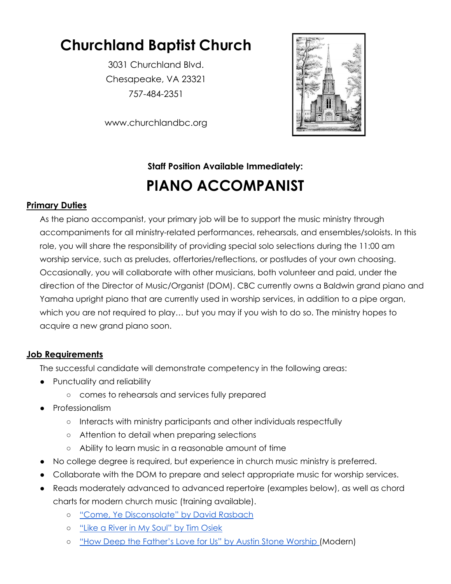# **Churchland Baptist Church**

3031 Churchland Blvd. Chesapeake, VA 23321 757-484-2351

www.churchlandbc.org

## **Staff Position Available Immediately: PIANO ACCOMPANIST**

### **Primary Duties**

As the piano accompanist, your primary job will be to support the music ministry through accompaniments for all ministry-related performances, rehearsals, and ensembles/soloists. In this role, you will share the responsibility of providing special solo selections during the 11:00 am worship service, such as preludes, offertories/reflections, or postludes of your own choosing. Occasionally, you will collaborate with other musicians, both volunteer and paid, under the direction of the Director of Music/Organist (DOM). CBC currently owns a Baldwin grand piano and Yamaha upright piano that are currently used in worship services, in addition to a pipe organ, which you are not required to play… but you may if you wish to do so. The ministry hopes to acquire a new grand piano soon.

### **Job Requirements**

The successful candidate will demonstrate competency in the following areas:

- Punctuality and reliability
	- comes to rehearsals and services fully prepared
- Professionalism
	- Interacts with ministry participants and other individuals respectfully
	- Attention to detail when preparing selections
	- Ability to learn music in a reasonable amount of time
- No college degree is required, but experience in church music ministry is preferred.
- Collaborate with the DOM to prepare and select appropriate music for worship services.
- Reads moderately advanced to advanced repertoire (examples below), as well as chord charts for modern church music (training available).
	- o "Come, Ye [Disconsolate"](https://www.jwpepper.com/sheet-music/product-media.jsp?productID=10424918) by David Rasbach
	- "Like a River in My Soul" by Tim [Osiek](https://www.jwpepper.com/sheet-music/product-media.jsp?productID=10907660)
	- o "How Deep the [Father's](https://praisecharts.com/songs/details/72748/how-deep-the-fathers-love-for-us-sheet-music/piano-vocal-pack) Love for Us" by Austin Stone Worship (Modern)